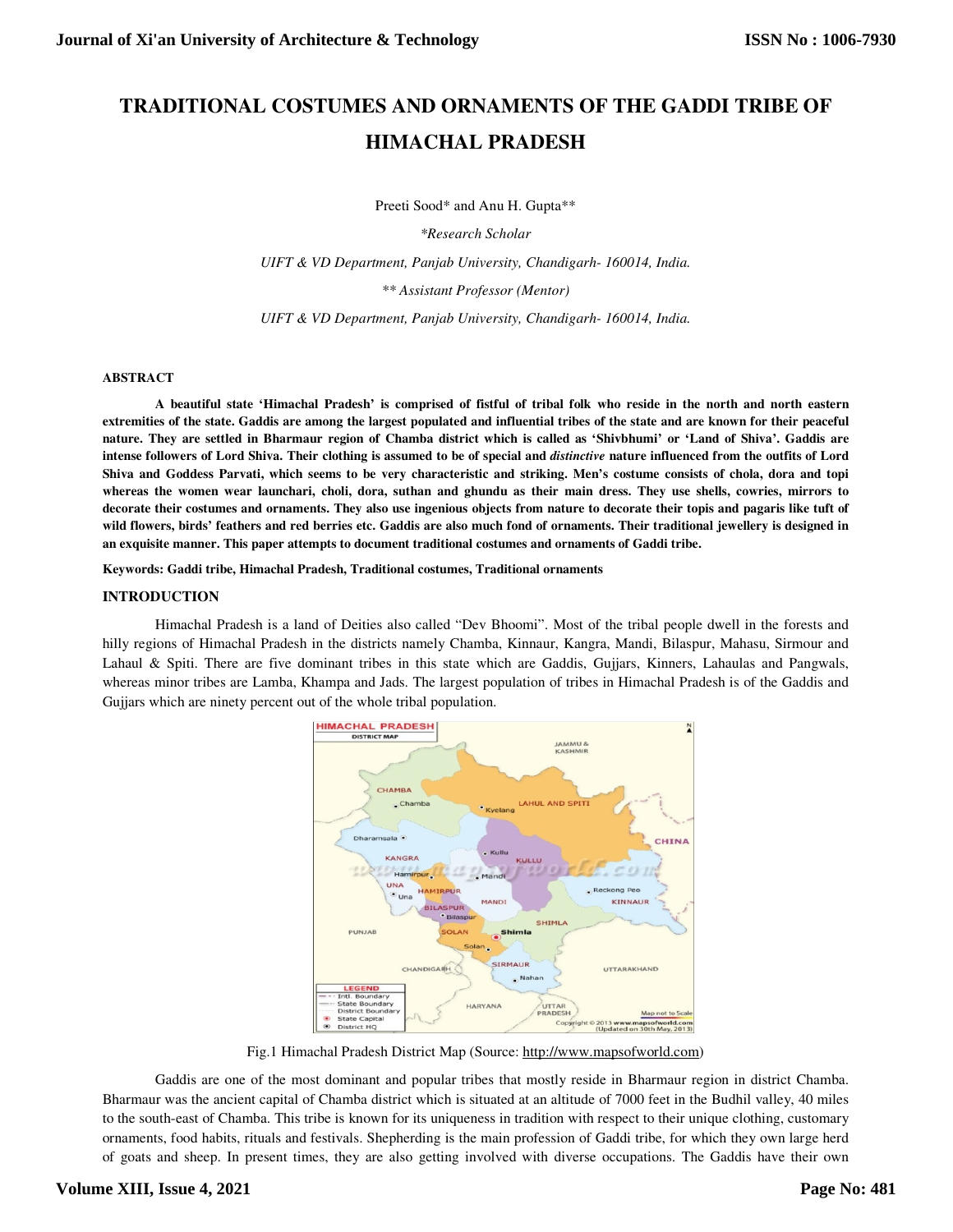# **TRADITIONAL COSTUMES AND ORNAMENTS OF THE GADDI TRIBE OF HIMACHAL PRADESH**

Preeti Sood\* and Anu H. Gupta\*\*

*\*Research Scholar* 

*UIFT & VD Department, Panjab University, Chandigarh- 160014, India.* 

*\*\* Assistant Professor (Mentor)* 

*UIFT & VD Department, Panjab University, Chandigarh- 160014, India.* 

#### **ABSTRACT**

**A beautiful state 'Himachal Pradesh' is comprised of fistful of tribal folk who reside in the north and north eastern extremities of the state. Gaddis are among the largest populated and influential tribes of the state and are known for their peaceful nature. They are settled in Bharmaur region of Chamba district which is called as 'Shivbhumi' or 'Land of Shiva'. Gaddis are intense followers of Lord Shiva. Their clothing is assumed to be of special and** *distinctive* **nature influenced from the outfits of Lord Shiva and Goddess Parvati, which seems to be very characteristic and striking. Men's costume consists of chola, dora and topi whereas the women wear launchari, choli, dora, suthan and ghundu as their main dress. They use shells, cowries, mirrors to decorate their costumes and ornaments. They also use ingenious objects from nature to decorate their topis and pagaris like tuft of wild flowers, birds' feathers and red berries etc. Gaddis are also much fond of ornaments. Their traditional jewellery is designed in an exquisite manner. This paper attempts to document traditional costumes and ornaments of Gaddi tribe.** 

**Keywords: Gaddi tribe, Himachal Pradesh, Traditional costumes, Traditional ornaments** 

#### **INTRODUCTION**

Himachal Pradesh is a land of Deities also called "Dev Bhoomi". Most of the tribal people dwell in the forests and hilly regions of Himachal Pradesh in the districts namely Chamba, Kinnaur, Kangra, Mandi, Bilaspur, Mahasu, Sirmour and Lahaul & Spiti. There are five dominant tribes in this state which are Gaddis, Gujjars, Kinners, Lahaulas and Pangwals, whereas minor tribes are Lamba, Khampa and Jads. The largest population of tribes in Himachal Pradesh is of the Gaddis and Gujjars which are ninety percent out of the whole tribal population.



Fig.1 Himachal Pradesh District Map (Source: http://www.mapsofworld.com)

Gaddis are one of the most dominant and popular tribes that mostly reside in Bharmaur region in district Chamba. Bharmaur was the ancient capital of Chamba district which is situated at an altitude of 7000 feet in the Budhil valley, 40 miles to the south-east of Chamba. This tribe is known for its uniqueness in tradition with respect to their unique clothing, customary ornaments, food habits, rituals and festivals. Shepherding is the main profession of Gaddi tribe, for which they own large herd of goats and sheep. In present times, they are also getting involved with diverse occupations. The Gaddis have their own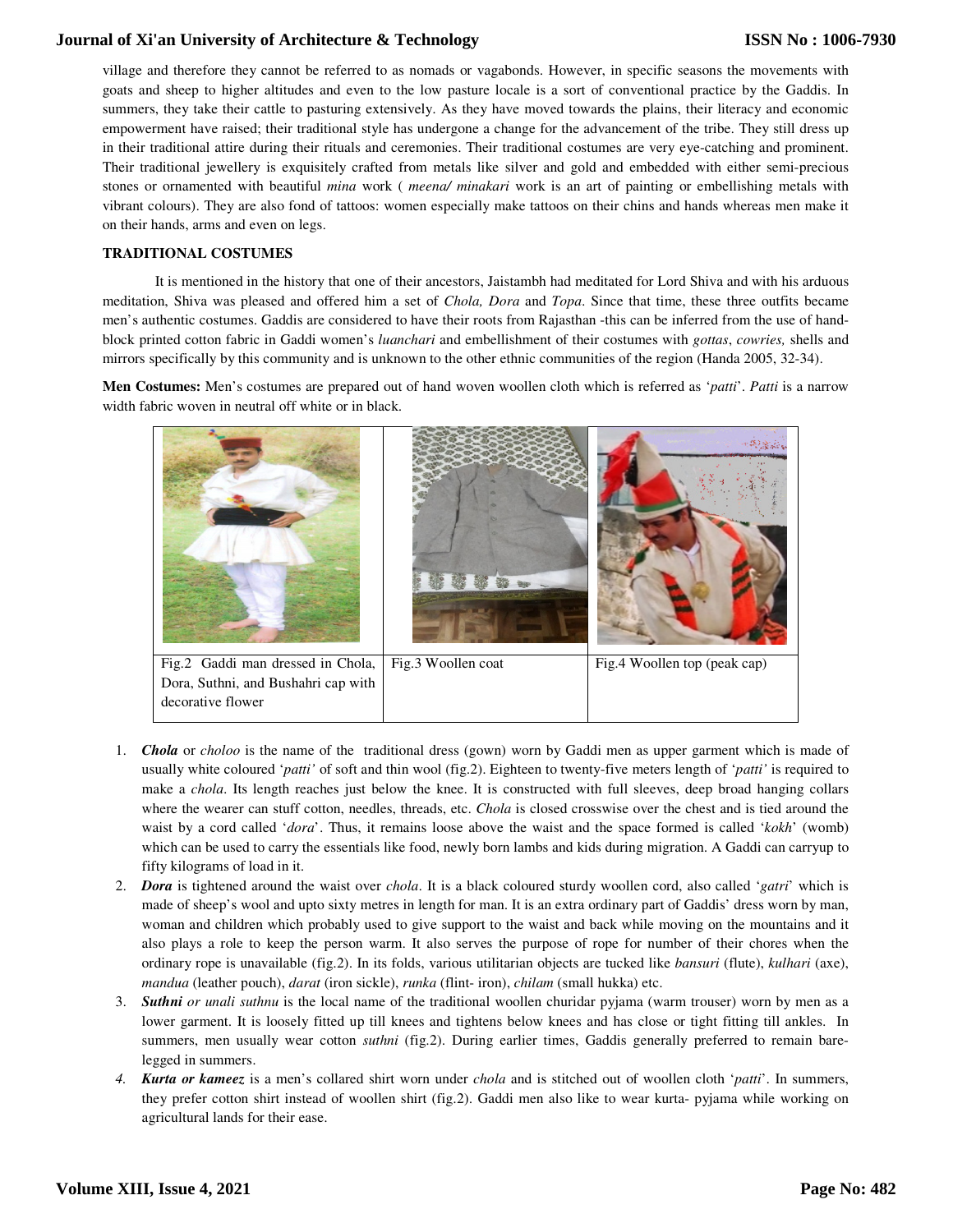village and therefore they cannot be referred to as nomads or vagabonds. However, in specific seasons the movements with goats and sheep to higher altitudes and even to the low pasture locale is a sort of conventional practice by the Gaddis. In summers, they take their cattle to pasturing extensively. As they have moved towards the plains, their literacy and economic empowerment have raised; their traditional style has undergone a change for the advancement of the tribe. They still dress up in their traditional attire during their rituals and ceremonies. Their traditional costumes are very eye-catching and prominent. Their traditional jewellery is exquisitely crafted from metals like silver and gold and embedded with either semi-precious stones or ornamented with beautiful *mina* work ( *meena/ minakari* work is an art of painting or embellishing metals with vibrant colours). They are also fond of tattoos: women especially make tattoos on their chins and hands whereas men make it on their hands, arms and even on legs.

### **TRADITIONAL COSTUMES**

It is mentioned in the history that one of their ancestors, Jaistambh had meditated for Lord Shiva and with his arduous meditation, Shiva was pleased and offered him a set of *Chola, Dora* and *Topa*. Since that time, these three outfits became men's authentic costumes. Gaddis are considered to have their roots from Rajasthan -this can be inferred from the use of handblock printed cotton fabric in Gaddi women's *luanchari* and embellishment of their costumes with *gottas*, *cowries,* shells and mirrors specifically by this community and is unknown to the other ethnic communities of the region (Handa 2005, 32-34).

**Men Costumes:** Men's costumes are prepared out of hand woven woollen cloth which is referred as '*patti*'. *Patti* is a narrow width fabric woven in neutral off white or in black.



- 1. *Chola* or *choloo* is the name of the traditional dress (gown) worn by Gaddi men as upper garment which is made of usually white coloured '*patti'* of soft and thin wool (fig.2). Eighteen to twenty-five meters length of '*patti'* is required to make a *chola*. Its length reaches just below the knee. It is constructed with full sleeves, deep broad hanging collars where the wearer can stuff cotton, needles, threads, etc. *Chola* is closed crosswise over the chest and is tied around the waist by a cord called '*dora*'. Thus, it remains loose above the waist and the space formed is called '*kokh*' (womb) which can be used to carry the essentials like food, newly born lambs and kids during migration. A Gaddi can carryup to fifty kilograms of load in it.
- 2. *Dora* is tightened around the waist over *chola*. It is a black coloured sturdy woollen cord, also called '*gatri*' which is made of sheep's wool and upto sixty metres in length for man. It is an extra ordinary part of Gaddis' dress worn by man, woman and children which probably used to give support to the waist and back while moving on the mountains and it also plays a role to keep the person warm. It also serves the purpose of rope for number of their chores when the ordinary rope is unavailable (fig.2). In its folds, various utilitarian objects are tucked like *bansuri* (flute), *kulhari* (axe), *mandua* (leather pouch), *darat* (iron sickle), *runka* (flint- iron), *chilam* (small hukka) etc.
- 3. *Suthni or unali suthnu* is the local name of the traditional woollen churidar pyjama (warm trouser) worn by men as a lower garment. It is loosely fitted up till knees and tightens below knees and has close or tight fitting till ankles. In summers, men usually wear cotton *suthni* (fig.2). During earlier times, Gaddis generally preferred to remain barelegged in summers.
- *4. Kurta or kameez* is a men's collared shirt worn under *chola* and is stitched out of woollen cloth '*patti*'. In summers, they prefer cotton shirt instead of woollen shirt (fig.2). Gaddi men also like to wear kurta- pyjama while working on agricultural lands for their ease.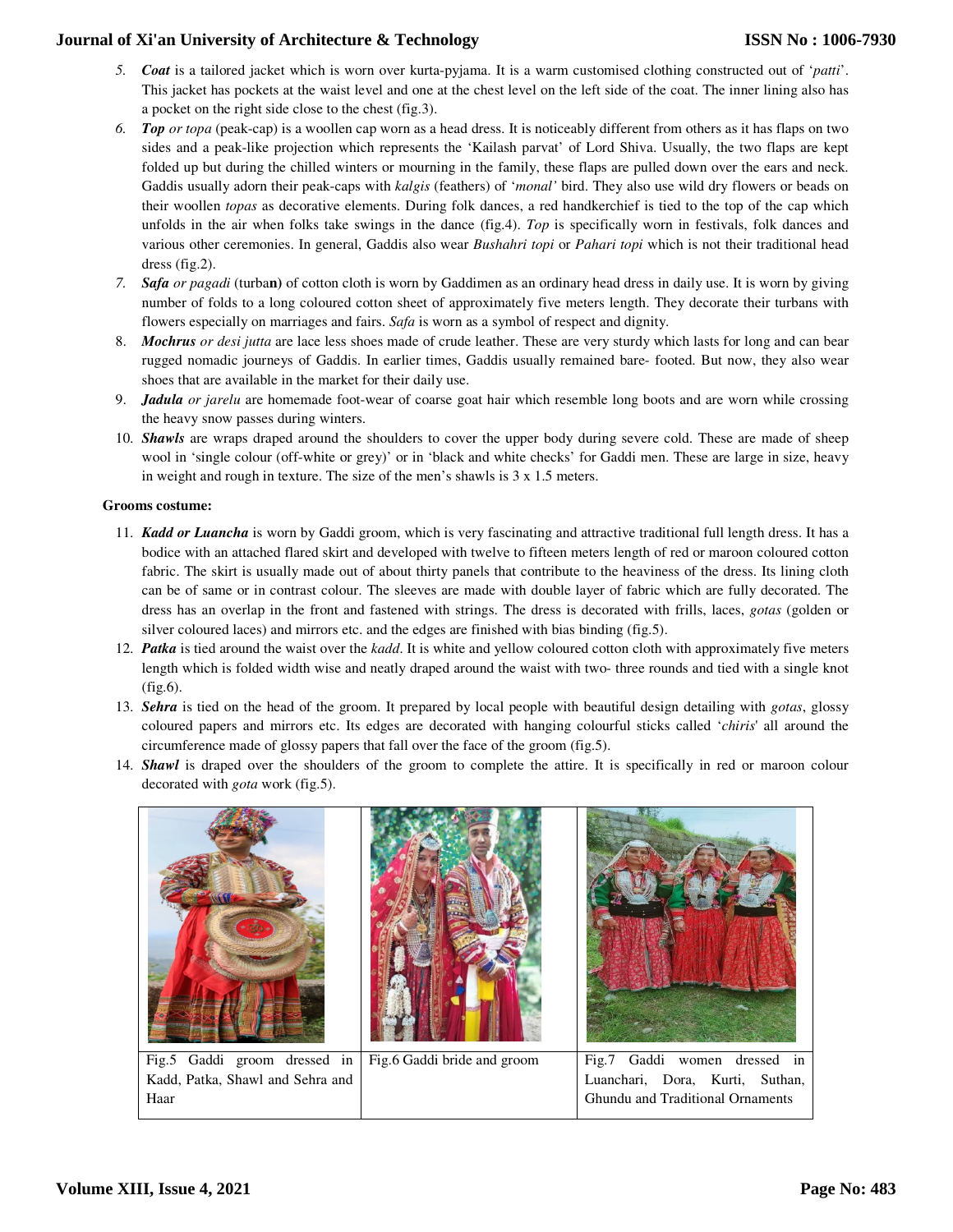- *5. Coat* is a tailored jacket which is worn over kurta-pyjama. It is a warm customised clothing constructed out of '*patti*'. This jacket has pockets at the waist level and one at the chest level on the left side of the coat. The inner lining also has a pocket on the right side close to the chest (fig.3).
- *6. Top or topa* (peak-cap) is a woollen cap worn as a head dress. It is noticeably different from others as it has flaps on two sides and a peak-like projection which represents the 'Kailash parvat' of Lord Shiva. Usually, the two flaps are kept folded up but during the chilled winters or mourning in the family, these flaps are pulled down over the ears and neck. Gaddis usually adorn their peak-caps with *kalgis* (feathers) of '*monal'* bird. They also use wild dry flowers or beads on their woollen *topas* as decorative elements. During folk dances, a red handkerchief is tied to the top of the cap which unfolds in the air when folks take swings in the dance (fig.4). *Top* is specifically worn in festivals, folk dances and various other ceremonies. In general, Gaddis also wear *Bushahri topi* or *Pahari topi* which is not their traditional head dress (fig.2).
- *7. Safa or pagadi* (turba**n)** of cotton cloth is worn by Gaddimen as an ordinary head dress in daily use. It is worn by giving number of folds to a long coloured cotton sheet of approximately five meters length. They decorate their turbans with flowers especially on marriages and fairs. *Safa* is worn as a symbol of respect and dignity.
- 8. *Mochrus or desi jutta* are lace less shoes made of crude leather. These are very sturdy which lasts for long and can bear rugged nomadic journeys of Gaddis. In earlier times, Gaddis usually remained bare- footed. But now, they also wear shoes that are available in the market for their daily use.
- 9. *Jadula or jarelu* are homemade foot-wear of coarse goat hair which resemble long boots and are worn while crossing the heavy snow passes during winters.
- 10. *Shawls* are wraps draped around the shoulders to cover the upper body during severe cold. These are made of sheep wool in 'single colour (off-white or grey)' or in 'black and white checks' for Gaddi men. These are large in size, heavy in weight and rough in texture. The size of the men's shawls is 3 x 1.5 meters.

## **Grooms costume:**

- 11. *Kadd or Luancha* is worn by Gaddi groom, which is very fascinating and attractive traditional full length dress. It has a bodice with an attached flared skirt and developed with twelve to fifteen meters length of red or maroon coloured cotton fabric. The skirt is usually made out of about thirty panels that contribute to the heaviness of the dress. Its lining cloth can be of same or in contrast colour. The sleeves are made with double layer of fabric which are fully decorated. The dress has an overlap in the front and fastened with strings. The dress is decorated with frills, laces, *gotas* (golden or silver coloured laces) and mirrors etc. and the edges are finished with bias binding (fig.5).
- 12. *Patka* is tied around the waist over the *kadd*. It is white and yellow coloured cotton cloth with approximately five meters length which is folded width wise and neatly draped around the waist with two- three rounds and tied with a single knot (fig.6).
- 13. *Sehra* is tied on the head of the groom. It prepared by local people with beautiful design detailing with *gotas*, glossy coloured papers and mirrors etc. Its edges are decorated with hanging colourful sticks called '*chiris*' all around the circumference made of glossy papers that fall over the face of the groom (fig.5).
- 14. *Shawl* is draped over the shoulders of the groom to complete the attire. It is specifically in red or maroon colour decorated with *gota* work (fig.5).

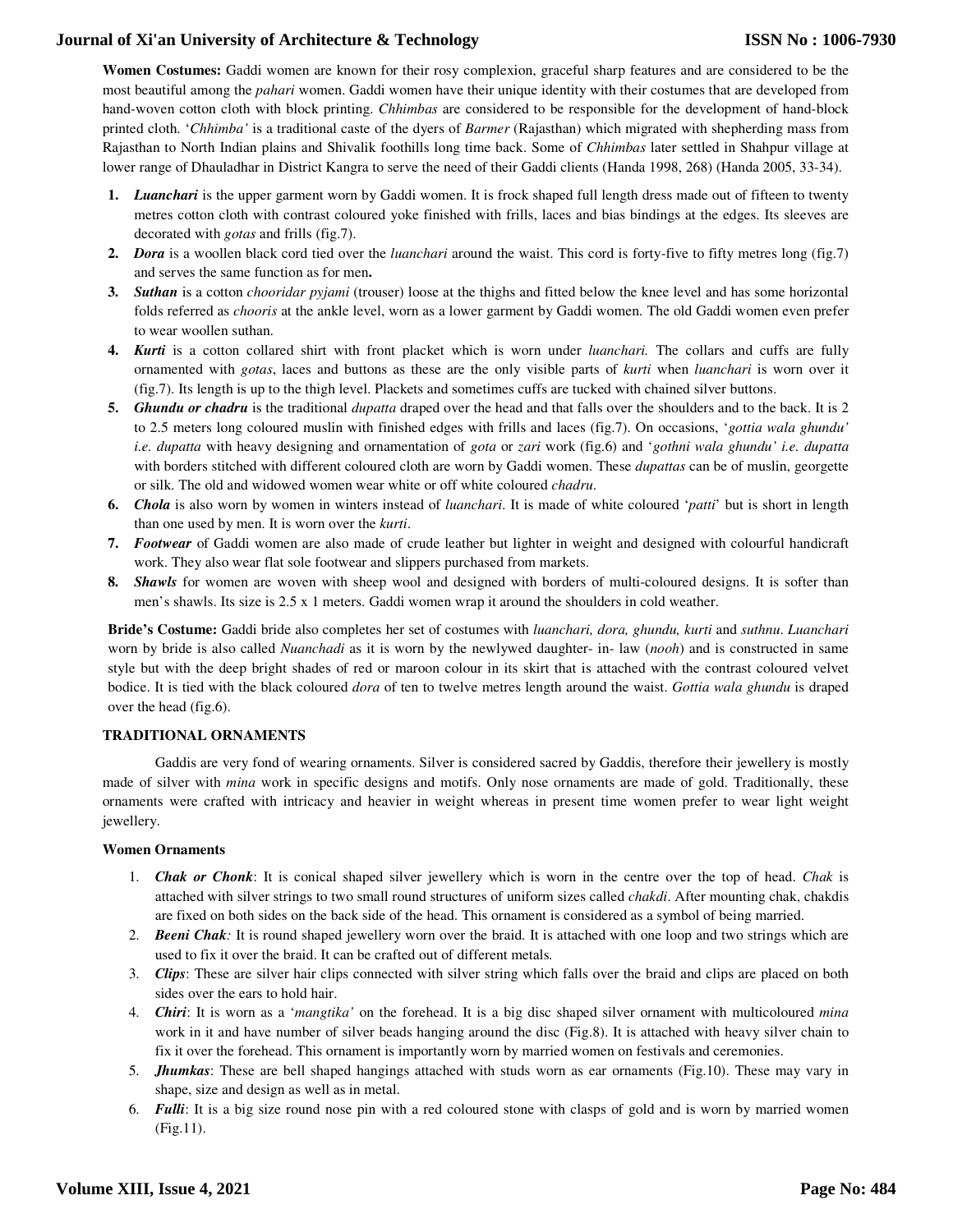**Women Costumes:** Gaddi women are known for their rosy complexion, graceful sharp features and are considered to be the most beautiful among the *pahari* women. Gaddi women have their unique identity with their costumes that are developed from hand-woven cotton cloth with block printing. *Chhimbas* are considered to be responsible for the development of hand-block printed cloth. '*Chhimba'* is a traditional caste of the dyers of *Barmer* (Rajasthan) which migrated with shepherding mass from Rajasthan to North Indian plains and Shivalik foothills long time back. Some of *Chhimbas* later settled in Shahpur village at lower range of Dhauladhar in District Kangra to serve the need of their Gaddi clients (Handa 1998, 268) (Handa 2005, 33-34).

- **1.** *Luanchari* is the upper garment worn by Gaddi women. It is frock shaped full length dress made out of fifteen to twenty metres cotton cloth with contrast coloured yoke finished with frills, laces and bias bindings at the edges. Its sleeves are decorated with *gotas* and frills (fig.7).
- **2.** *Dora* is a woollen black cord tied over the *luanchari* around the waist. This cord is forty-five to fifty metres long (fig.7) and serves the same function as for men**.**
- **3.** *Suthan* is a cotton *chooridar pyjami* (trouser) loose at the thighs and fitted below the knee level and has some horizontal folds referred as *chooris* at the ankle level, worn as a lower garment by Gaddi women. The old Gaddi women even prefer to wear woollen suthan.
- **4.** *Kurti* is a cotton collared shirt with front placket which is worn under *luanchari.* The collars and cuffs are fully ornamented with *gotas*, laces and buttons as these are the only visible parts of *kurti* when *luanchari* is worn over it (fig.7). Its length is up to the thigh level. Plackets and sometimes cuffs are tucked with chained silver buttons.
- **5.** *Ghundu or chadru* is the traditional *dupatta* draped over the head and that falls over the shoulders and to the back. It is 2 to 2.5 meters long coloured muslin with finished edges with frills and laces (fig.7). On occasions, '*gottia wala ghundu' i.e. dupatta* with heavy designing and ornamentation of *gota* or *zari* work (fig.6) and '*gothni wala ghundu' i.e. dupatta*  with borders stitched with different coloured cloth are worn by Gaddi women. These *dupattas* can be of muslin, georgette or silk. The old and widowed women wear white or off white coloured *chadru*.
- **6.** *Chola* is also worn by women in winters instead of *luanchari*. It is made of white coloured '*patti*' but is short in length than one used by men. It is worn over the *kurti*.
- **7.** *Footwear* of Gaddi women are also made of crude leather but lighter in weight and designed with colourful handicraft work. They also wear flat sole footwear and slippers purchased from markets.
- **8.** *Shawls* for women are woven with sheep wool and designed with borders of multi-coloured designs. It is softer than men's shawls. Its size is 2.5 x 1 meters. Gaddi women wrap it around the shoulders in cold weather.

**Bride's Costume:** Gaddi bride also completes her set of costumes with *luanchari, dora, ghundu, kurti* and *suthnu*. *Luanchari*  worn by bride is also called *Nuanchadi* as it is worn by the newlywed daughter- in- law (*nooh*) and is constructed in same style but with the deep bright shades of red or maroon colour in its skirt that is attached with the contrast coloured velvet bodice. It is tied with the black coloured *dora* of ten to twelve metres length around the waist. *Gottia wala ghundu* is draped over the head (fig.6).

## **TRADITIONAL ORNAMENTS**

Gaddis are very fond of wearing ornaments. Silver is considered sacred by Gaddis, therefore their jewellery is mostly made of silver with *mina* work in specific designs and motifs. Only nose ornaments are made of gold. Traditionally, these ornaments were crafted with intricacy and heavier in weight whereas in present time women prefer to wear light weight jewellery.

### **Women Ornaments**

- 1. *Chak or Chonk*: It is conical shaped silver jewellery which is worn in the centre over the top of head. *Chak* is attached with silver strings to two small round structures of uniform sizes called *chakdi*. After mounting chak, chakdis are fixed on both sides on the back side of the head. This ornament is considered as a symbol of being married.
- 2. *Beeni Chak:* It is round shaped jewellery worn over the braid. It is attached with one loop and two strings which are used to fix it over the braid. It can be crafted out of different metals*.*
- 3. *Clips*: These are silver hair clips connected with silver string which falls over the braid and clips are placed on both sides over the ears to hold hair.
- 4. *Chiri*: It is worn as a '*mangtika'* on the forehead. It is a big disc shaped silver ornament with multicoloured *mina* work in it and have number of silver beads hanging around the disc (Fig.8). It is attached with heavy silver chain to fix it over the forehead. This ornament is importantly worn by married women on festivals and ceremonies.
- 5. *Jhumkas*: These are bell shaped hangings attached with studs worn as ear ornaments (Fig.10). These may vary in shape, size and design as well as in metal.
- 6. *Fulli*: It is a big size round nose pin with a red coloured stone with clasps of gold and is worn by married women (Fig.11).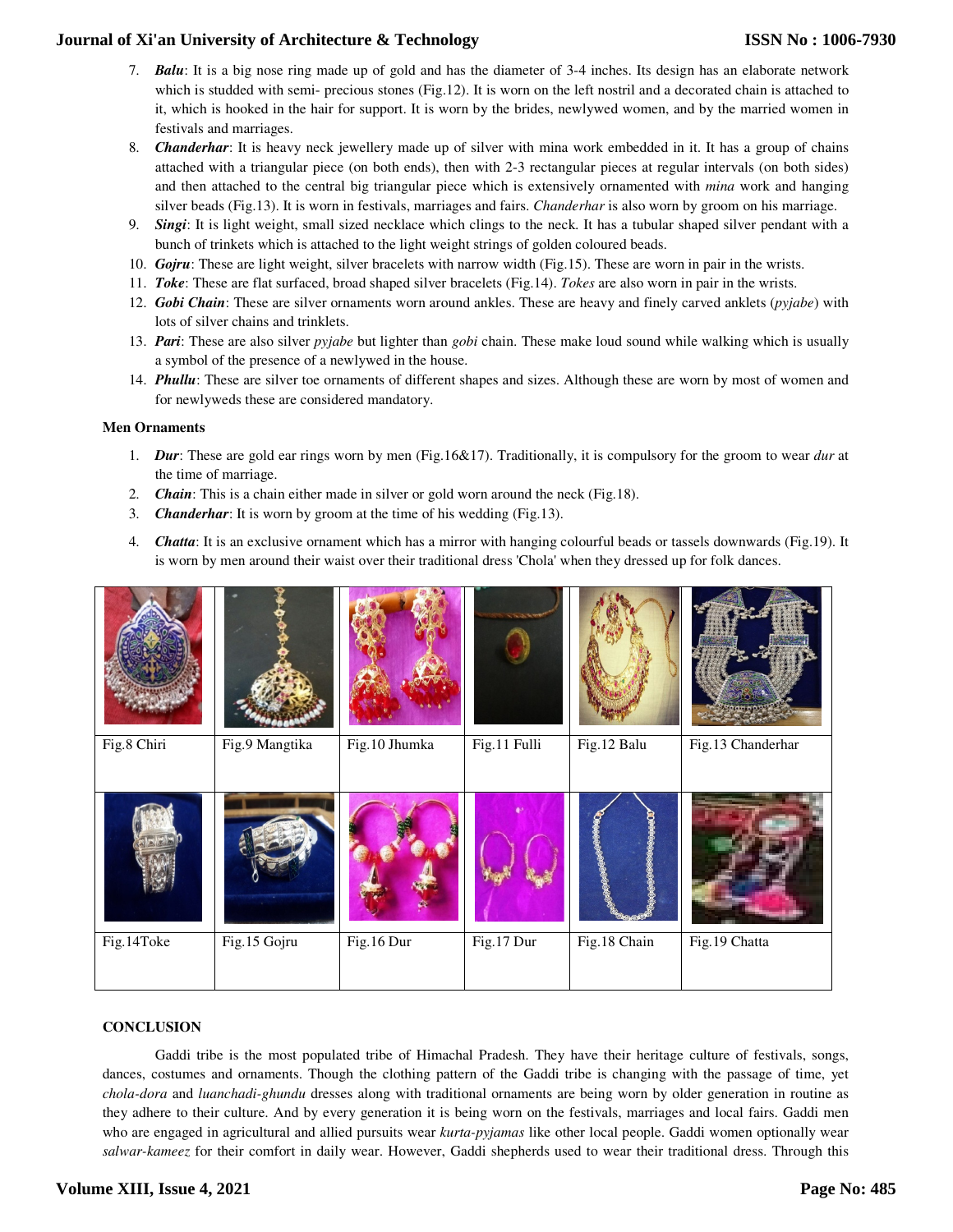- 7. *Balu*: It is a big nose ring made up of gold and has the diameter of 3-4 inches. Its design has an elaborate network which is studded with semi- precious stones (Fig.12). It is worn on the left nostril and a decorated chain is attached to it, which is hooked in the hair for support. It is worn by the brides, newlywed women, and by the married women in festivals and marriages.
- 8. *Chanderhar*: It is heavy neck jewellery made up of silver with mina work embedded in it. It has a group of chains attached with a triangular piece (on both ends), then with 2-3 rectangular pieces at regular intervals (on both sides) and then attached to the central big triangular piece which is extensively ornamented with *mina* work and hanging silver beads (Fig.13). It is worn in festivals, marriages and fairs. *Chanderhar* is also worn by groom on his marriage.
- 9. *Singi*: It is light weight, small sized necklace which clings to the neck. It has a tubular shaped silver pendant with a bunch of trinkets which is attached to the light weight strings of golden coloured beads.
- 10. *Gojru*: These are light weight, silver bracelets with narrow width (Fig.15). These are worn in pair in the wrists.
- 11. *Toke*: These are flat surfaced, broad shaped silver bracelets (Fig.14). *Tokes* are also worn in pair in the wrists.
- 12. *Gobi Chain*: These are silver ornaments worn around ankles. These are heavy and finely carved anklets (*pyjabe*) with lots of silver chains and trinklets.
- 13. *Pari*: These are also silver *pyjabe* but lighter than *gobi* chain. These make loud sound while walking which is usually a symbol of the presence of a newlywed in the house.
- 14. *Phullu*: These are silver toe ornaments of different shapes and sizes. Although these are worn by most of women and for newlyweds these are considered mandatory.

### **Men Ornaments**

- 1. *Dur*: These are gold ear rings worn by men (Fig.16&17). Traditionally, it is compulsory for the groom to wear *dur* at the time of marriage.
- 2. *Chain*: This is a chain either made in silver or gold worn around the neck (Fig.18).
- 3. *Chanderhar*: It is worn by groom at the time of his wedding (Fig.13).
- 4. *Chatta*: It is an exclusive ornament which has a mirror with hanging colourful beads or tassels downwards (Fig.19). It is worn by men around their waist over their traditional dress 'Chola' when they dressed up for folk dances.

| Fig.8 Chiri | Fig.9 Mangtika | Fig.10 Jhumka | Fig.11 Fulli | Fig.12 Balu  | Fig.13 Chanderhar |
|-------------|----------------|---------------|--------------|--------------|-------------------|
|             |                |               |              |              |                   |
| Fig.14Toke  | Fig.15 Gojru   | Fig.16 Dur    | Fig.17 Dur   | Fig.18 Chain | Fig.19 Chatta     |
|             |                |               |              |              |                   |

## **CONCLUSION**

Gaddi tribe is the most populated tribe of Himachal Pradesh. They have their heritage culture of festivals, songs, dances, costumes and ornaments. Though the clothing pattern of the Gaddi tribe is changing with the passage of time, yet *chola-dora* and *luanchadi-ghundu* dresses along with traditional ornaments are being worn by older generation in routine as they adhere to their culture. And by every generation it is being worn on the festivals, marriages and local fairs. Gaddi men who are engaged in agricultural and allied pursuits wear *kurta-pyjamas* like other local people. Gaddi women optionally wear *salwar-kameez* for their comfort in daily wear. However, Gaddi shepherds used to wear their traditional dress. Through this